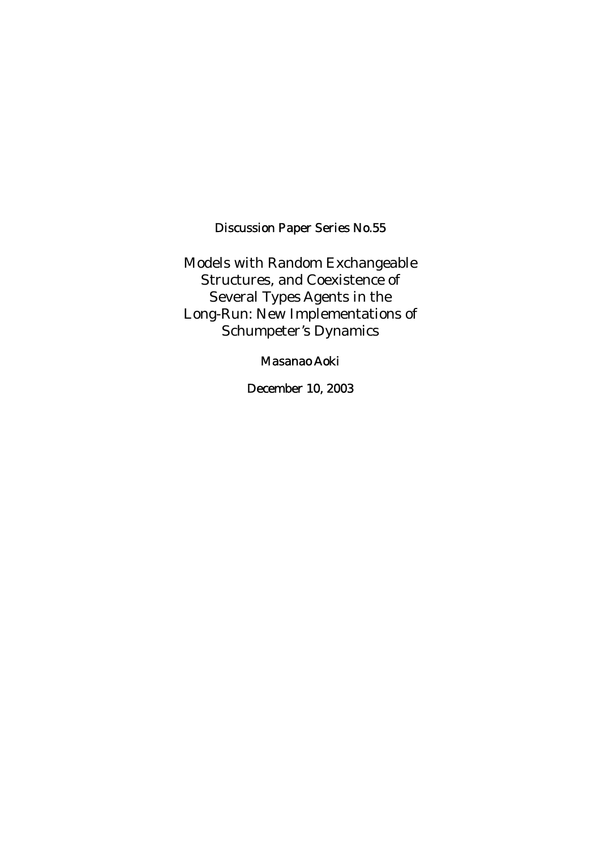# Discussion Paper Series No.55

Models with Random Exchangeable Structures, and Coexistence of Several Types Agents in the Long-Run: New Implementations of Schumpeter's Dynamics

Masanao Aoki

December 10, 2003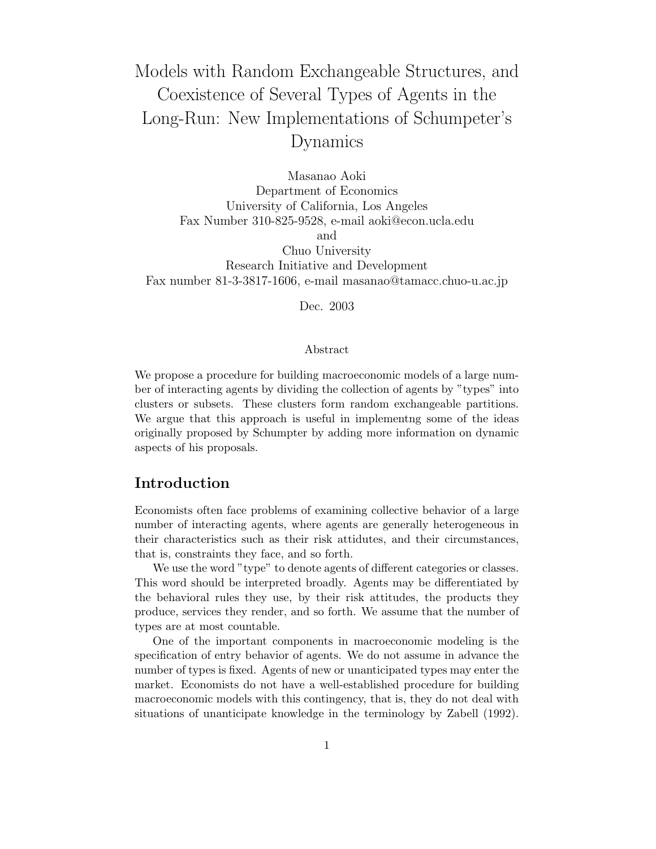# Models with Random Exchangeable Structures, and Coexistence of Several Types of Agents in the Long-Run: New Implementations of Schumpeter's Dynamics

Masanao Aoki Department of Economics University of California, Los Angeles Fax Number 310-825-9528, e-mail aoki@econ.ucla.edu and Chuo University Research Initiative and Development Fax number 81-3-3817-1606, e-mail masanao@tamacc.chuo-u.ac.jp

Dec. 2003

#### Abstract

We propose a procedure for building macroeconomic models of a large number of interacting agents by dividing the collection of agents by "types" into clusters or subsets. These clusters form random exchangeable partitions. We argue that this approach is useful in implementng some of the ideas originally proposed by Schumpter by adding more information on dynamic aspects of his proposals.

### **Introduction**

Economists often face problems of examining collective behavior of a large number of interacting agents, where agents are generally heterogeneous in their characteristics such as their risk attidutes, and their circumstances, that is, constraints they face, and so forth.

We use the word "type" to denote agents of different categories or classes. This word should be interpreted broadly. Agents may be differentiated by the behavioral rules they use, by their risk attitudes, the products they produce, services they render, and so forth. We assume that the number of types are at most countable.

One of the important components in macroeconomic modeling is the specification of entry behavior of agents. We do not assume in advance the number of types is fixed. Agents of new or unanticipated types may enter the market. Economists do not have a well-established procedure for building macroeconomic models with this contingency, that is, they do not deal with situations of unanticipate knowledge in the terminology by Zabell (1992).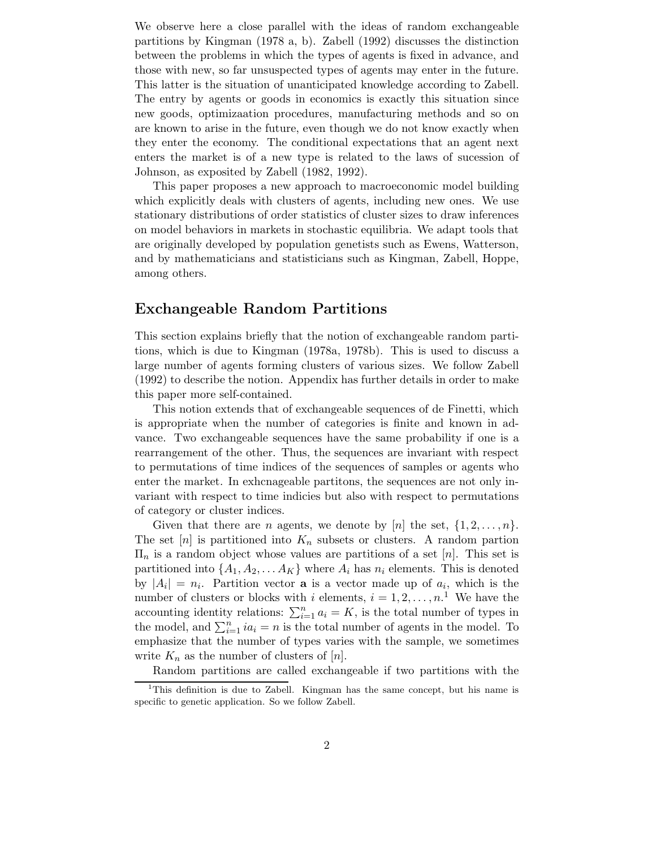We observe here a close parallel with the ideas of random exchangeable partitions by Kingman (1978 a, b). Zabell (1992) discusses the distinction between the problems in which the types of agents is fixed in advance, and those with new, so far unsuspected types of agents may enter in the future. This latter is the situation of unanticipated knowledge according to Zabell. The entry by agents or goods in economics is exactly this situation since new goods, optimizaation procedures, manufacturing methods and so on are known to arise in the future, even though we do not know exactly when they enter the economy. The conditional expectations that an agent next enters the market is of a new type is related to the laws of sucession of Johnson, as exposited by Zabell (1982, 1992).

This paper proposes a new approach to macroeconomic model building which explicitly deals with clusters of agents, including new ones. We use stationary distributions of order statistics of cluster sizes to draw inferences on model behaviors in markets in stochastic equilibria. We adapt tools that are originally developed by population genetists such as Ewens, Watterson, and by mathematicians and statisticians such as Kingman, Zabell, Hoppe, among others.

### **Exchangeable Random Partitions**

This section explains briefly that the notion of exchangeable random partitions, which is due to Kingman (1978a, 1978b). This is used to discuss a large number of agents forming clusters of various sizes. We follow Zabell (1992) to describe the notion. Appendix has further details in order to make this paper more self-contained.

This notion extends that of exchangeable sequences of de Finetti, which is appropriate when the number of categories is finite and known in advance. Two exchangeable sequences have the same probability if one is a rearrangement of the other. Thus, the sequences are invariant with respect to permutations of time indices of the sequences of samples or agents who enter the market. In exhcnageable partitons, the sequences are not only invariant with respect to time indicies but also with respect to permutations of category or cluster indices.

Given that there are *n* agents, we denote by [*n*] the set,  $\{1, 2, \ldots, n\}$ . The set  $[n]$  is partitioned into  $K_n$  subsets or clusters. A random partion  $\Pi_n$  is a random object whose values are partitions of a set [n]. This set is partitioned into  $\{A_1, A_2, \ldots A_K\}$  where  $A_i$  has  $n_i$  elements. This is denoted by  $|A_i| = n_i$ . Partition vector **a** is a vector made up of  $a_i$ , which is the number of clusters or blocks with i elements,  $i = 1, 2, ..., n$ <sup>1</sup>. We have the accounting identity relations:  $\sum_{i=1}^{n} a_i = K$ , is the total number of types in the model, and  $\sum_{i=1}^{n} ia_i = n$  is the total number of agents in the model. To emphasize that the number of types varies with the sample, we sometimes write  $K_n$  as the number of clusters of  $[n]$ .

Random partitions are called exchangeable if two partitions with the

<sup>&</sup>lt;sup>1</sup>This definition is due to Zabell. Kingman has the same concept, but his name is specific to genetic application. So we follow Zabell.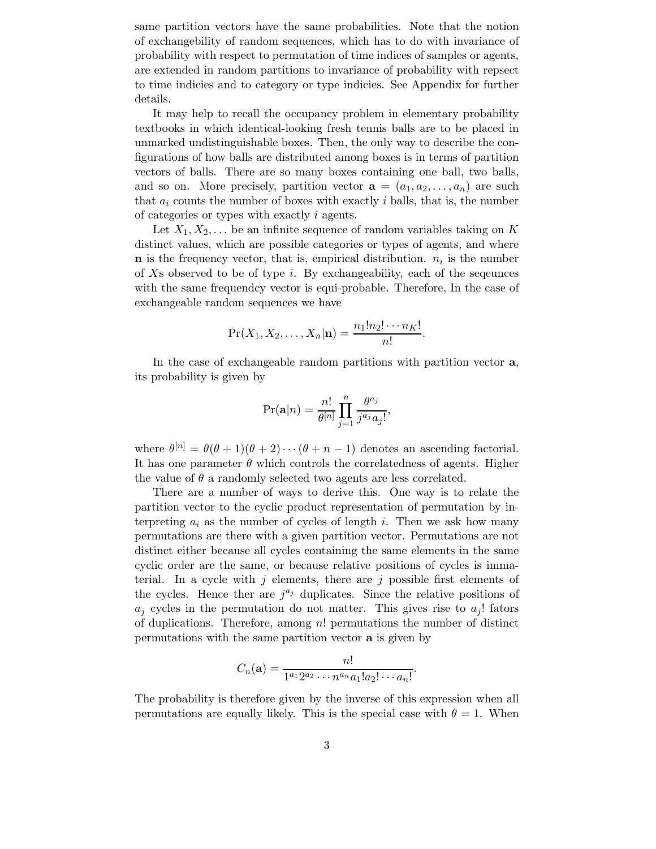same partition vectors have the same probabilities. Note that the notion of exchangebility of random sequences, which has to do with invariance of probability with respect to permutation of time indices of samples or agents, are extended in random partitions to invariance of probability with repsect to time indicies and to category or type indicies. See Appendix for further details.

It may help to recall the occupancy problem in elementary probability textbooks in which identical-looking fresh tennis balls are to be placed in unmarked undistinguishable boxes. Then, the only way to describe the configurations of how balls are distributed among boxes is in terms of partition vectors of balls. There are so many boxes containing one ball, two balls, and so on. More precisely, partition vector  $\mathbf{a} = (a_1, a_2, \dots, a_n)$  are such that  $a_i$  counts the number of boxes with exactly i balls, that is, the number of categories or types with exactly i agents.

Let  $X_1, X_2, \ldots$  be an infinite sequence of random variables taking on K distinct values, which are possible categories or types of agents, and where **n** is the frequency vector, that is, empirical distribution.  $n_i$  is the number of  $X$ s observed to be of type i. By exchangeability, each of the sequences with the same frequendcy vector is equi-probable. Therefore, In the case of exchangeable random sequences we have

$$
\Pr(X_1, X_2, \dots, X_n | \mathbf{n}) = \frac{n_1! n_2! \cdots n_K!}{n!}.
$$

In the case of exchangeable random partitions with partition vector **a**, its probability is given by

$$
\Pr(\mathbf{a}|n) = \frac{n!}{\theta^{[n]}} \prod_{j=1}^n \frac{\theta^{a_j}}{j^{a_j} a_j!},
$$

where  $\theta^{[n]} = \theta(\theta+1)(\theta+2)\cdots(\theta+n-1)$  denotes an ascending factorial. It has one parameter  $\theta$  which controls the correlatedness of agents. Higher the value of  $\theta$  a randomly selected two agents are less correlated.

There are a number of ways to derive this. One way is to relate the partition vector to the cyclic product representation of permutation by interpreting  $a_i$  as the number of cycles of length i. Then we ask how many permutations are there with a given partition vector. Permutations are not distinct either because all cycles containing the same elements in the same cyclic order are the same, or because relative positions of cycles is immaterial. In a cycle with j elements, there are j possible first elements of the cycles. Hence ther are  $j^{a_j}$  duplicates. Since the relative positions of  $a_i$  cycles in the permutation do not matter. This gives rise to  $a_i$ ! fators of duplications. Therefore, among  $n!$  permutations the number of distinct permutations with the same partition vector **a** is given by

$$
C_n(\mathbf{a}) = \frac{n!}{1^{a_1} 2^{a_2} \cdots n^{a_n} a_1! a_2! \cdots a_n!}
$$

.

The probability is therefore given by the inverse of this expression when all permutations are equally likely. This is the special case with  $\theta = 1$ . When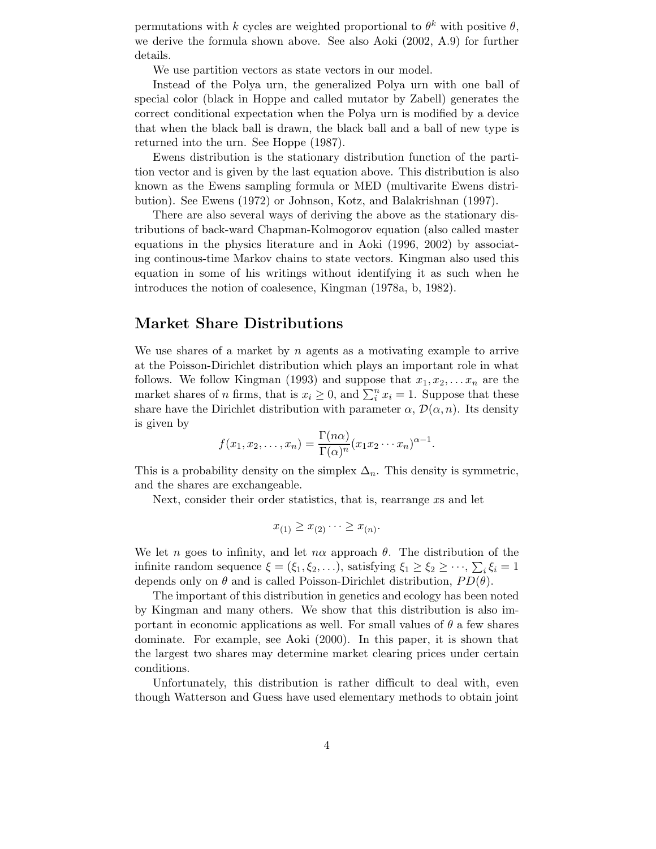permutations with k cycles are weighted proportional to  $\theta^k$  with positive  $\theta$ , we derive the formula shown above. See also Aoki (2002, A.9) for further details.

We use partition vectors as state vectors in our model.

Instead of the Polya urn, the generalized Polya urn with one ball of special color (black in Hoppe and called mutator by Zabell) generates the correct conditional expectation when the Polya urn is modified by a device that when the black ball is drawn, the black ball and a ball of new type is returned into the urn. See Hoppe (1987).

Ewens distribution is the stationary distribution function of the partition vector and is given by the last equation above. This distribution is also known as the Ewens sampling formula or MED (multivarite Ewens distribution). See Ewens (1972) or Johnson, Kotz, and Balakrishnan (1997).

There are also several ways of deriving the above as the stationary distributions of back-ward Chapman-Kolmogorov equation (also called master equations in the physics literature and in Aoki (1996, 2002) by associating continous-time Markov chains to state vectors. Kingman also used this equation in some of his writings without identifying it as such when he introduces the notion of coalesence, Kingman (1978a, b, 1982).

### **Market Share Distributions**

We use shares of a market by  $n$  agents as a motivating example to arrive at the Poisson-Dirichlet distribution which plays an important role in what follows. We follow Kingman (1993) and suppose that  $x_1, x_2, \ldots x_n$  are the market shares of *n* firms, that is  $x_i \geq 0$ , and  $\sum_i^n x_i = 1$ . Suppose that these share have the Dirichlet distribution with parameter  $\alpha$ ,  $\mathcal{D}(\alpha, n)$ . Its density is given by

$$
f(x_1, x_2, \dots, x_n) = \frac{\Gamma(n\alpha)}{\Gamma(\alpha)^n} (x_1 x_2 \cdots x_n)^{\alpha-1}.
$$

This is a probability density on the simplex  $\Delta_n$ . This density is symmetric, and the shares are exchangeable.

Next, consider their order statistics, that is, rearrange xs and let

$$
x_{(1)} \ge x_{(2)} \cdots \ge x_{(n)}.
$$

We let n goes to infinity, and let  $n\alpha$  approach  $\theta$ . The distribution of the infinite random sequence  $\xi = (\xi_1, \xi_2, \ldots)$ , satisfying  $\xi_1 \ge \xi_2 \ge \cdots$ ,  $\sum_i \xi_i = 1$ depends only on  $\theta$  and is called Poisson-Dirichlet distribution,  $PD(\theta)$ .

The important of this distribution in genetics and ecology has been noted by Kingman and many others. We show that this distribution is also important in economic applications as well. For small values of  $\theta$  a few shares dominate. For example, see Aoki (2000). In this paper, it is shown that the largest two shares may determine market clearing prices under certain conditions.

Unfortunately, this distribution is rather difficult to deal with, even though Watterson and Guess have used elementary methods to obtain joint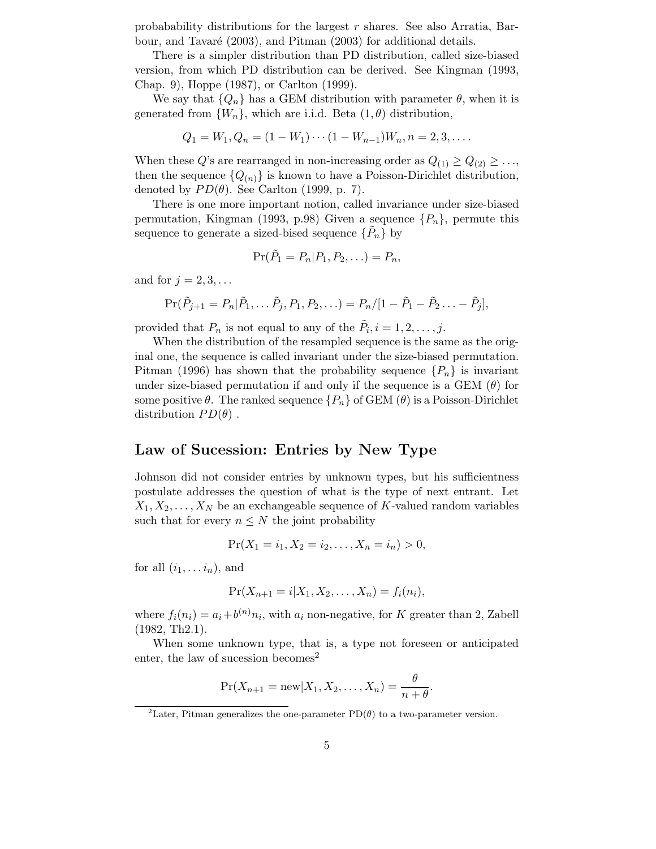probabability distributions for the largest r shares. See also Arratia, Barbour, and Tavaré (2003), and Pitman (2003) for additional details.

There is a simpler distribution than PD distribution, called size-biased version, from which PD distribution can be derived. See Kingman (1993, Chap. 9), Hoppe (1987), or Carlton (1999).

We say that  $\{Q_n\}$  has a GEM distribution with parameter  $\theta$ , when it is generated from  $\{W_n\}$ , which are i.i.d. Beta  $(1, \theta)$  distribution,

$$
Q_1 = W_1, Q_n = (1 - W_1) \cdots (1 - W_{n-1}) W_n, n = 2, 3, \dots
$$

When these Q's are rearranged in non-increasing order as  $Q_{(1)} \geq Q_{(2)} \geq \ldots$ , then the sequence  $\{Q_{(n)}\}$  is known to have a Poisson-Dirichlet distribution, denoted by  $PD(\theta)$ . See Carlton (1999, p. 7).

There is one more important notion, called invariance under size-biased permutation, Kingman (1993, p.98) Given a sequence  $\{P_n\}$ , permute this sequence to generate a sized-bised sequence  $\{P_n\}$  by

$$
Pr(\tilde{P}_1 = P_n | P_1, P_2, \ldots) = P_n,
$$

and for  $j = 2, 3, \ldots$ 

$$
\Pr(\tilde{P}_{j+1} = P_n | \tilde{P}_1, \dots, \tilde{P}_j, P_1, P_2, \dots) = P_n / [1 - \tilde{P}_1 - \tilde{P}_2 \dots - \tilde{P}_j],
$$

provided that  $P_n$  is not equal to any of the  $\tilde{P}_i, i = 1, 2, \ldots, j$ .

When the distribution of the resampled sequence is the same as the original one, the sequence is called invariant under the size-biased permutation. Pitman (1996) has shown that the probability sequence  $\{P_n\}$  is invariant under size-biased permutation if and only if the sequence is a GEM  $(\theta)$  for some positive  $\theta$ . The ranked sequence  $\{P_n\}$  of GEM  $(\theta)$  is a Poisson-Dirichlet distribution  $PD(\theta)$ .

### **Law of Sucession: Entries by New Type**

Johnson did not consider entries by unknown types, but his sufficientness postulate addresses the question of what is the type of next entrant. Let  $X_1, X_2, \ldots, X_N$  be an exchangeable sequence of K-valued random variables such that for every  $n \leq N$  the joint probability

$$
Pr(X_1 = i_1, X_2 = i_2, \dots, X_n = i_n) > 0,
$$

for all  $(i_1,\ldots i_n)$ , and

$$
Pr(X_{n+1} = i | X_1, X_2, \dots, X_n) = f_i(n_i),
$$

where  $f_i(n_i) = a_i + b^{(n)}n_i$ , with  $a_i$  non-negative, for K greater than 2, Zabell (1982, Th2.1).

When some unknown type, that is, a type not foreseen or anticipated enter, the law of sucession becomes<sup>2</sup>

$$
Pr(X_{n+1} = new | X_1, X_2, ..., X_n) = \frac{\theta}{n+\theta}.
$$

<sup>&</sup>lt;sup>2</sup>Later, Pitman generalizes the one-parameter PD $(\theta)$  to a two-parameter version.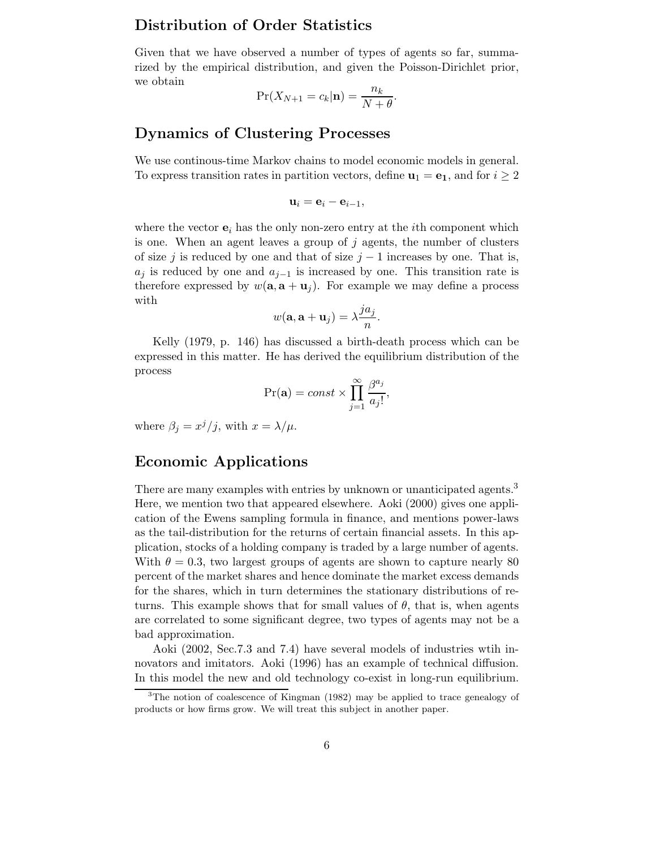### **Distribution of Order Statistics**

Given that we have observed a number of types of agents so far, summarized by the empirical distribution, and given the Poisson-Dirichlet prior, we obtain

$$
\Pr(X_{N+1} = c_k | \mathbf{n}) = \frac{n_k}{N + \theta}.
$$

### **Dynamics of Clustering Processes**

We use continous-time Markov chains to model economic models in general. To express transition rates in partition vectors, define  $\mathbf{u}_1 = \mathbf{e}_1$ , and for  $i \geq 2$ 

$$
\mathbf{u}_i = \mathbf{e}_i - \mathbf{e}_{i-1},
$$

where the vector  $\mathbf{e}_i$  has the only non-zero entry at the *i*th component which is one. When an agent leaves a group of  $j$  agents, the number of clusters of size j is reduced by one and that of size  $j - 1$  increases by one. That is,  $a_j$  is reduced by one and  $a_{j-1}$  is increased by one. This transition rate is therefore expressed by  $w(\mathbf{a}, \mathbf{a} + \mathbf{u}_i)$ . For example we may define a process with

$$
w(\mathbf{a}, \mathbf{a} + \mathbf{u}_j) = \lambda \frac{j a_j}{n}.
$$

Kelly (1979, p. 146) has discussed a birth-death process which can be expressed in this matter. He has derived the equilibrium distribution of the process

$$
\Pr(\mathbf{a}) = const \times \prod_{j=1}^{\infty} \frac{\beta^{a_j}}{a_j!},
$$

where  $\beta_i = x^j/j$ , with  $x = \lambda/\mu$ .

## **Economic Applications**

There are many examples with entries by unknown or unanticipated agents.<sup>3</sup> Here, we mention two that appeared elsewhere. Aoki (2000) gives one application of the Ewens sampling formula in finance, and mentions power-laws as the tail-distribution for the returns of certain financial assets. In this application, stocks of a holding company is traded by a large number of agents. With  $\theta = 0.3$ , two largest groups of agents are shown to capture nearly 80 percent of the market shares and hence dominate the market excess demands for the shares, which in turn determines the stationary distributions of returns. This example shows that for small values of  $\theta$ , that is, when agents are correlated to some significant degree, two types of agents may not be a bad approximation.

Aoki (2002, Sec.7.3 and 7.4) have several models of industries wtih innovators and imitators. Aoki (1996) has an example of technical diffusion. In this model the new and old technology co-exist in long-run equilibrium.

<sup>&</sup>lt;sup>3</sup>The notion of coalescence of Kingman (1982) may be applied to trace genealogy of products or how firms grow. We will treat this subject in another paper.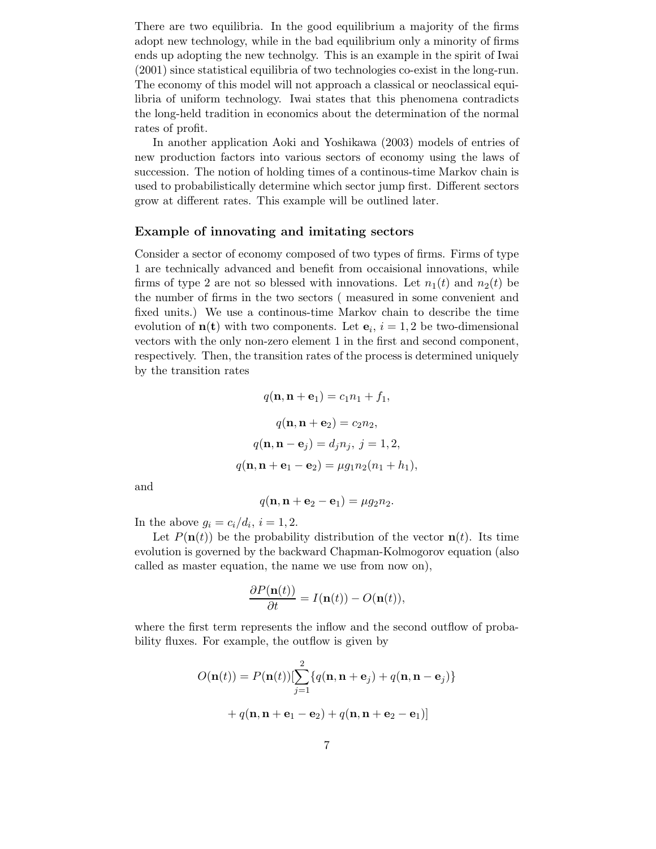There are two equilibria. In the good equilibrium a majority of the firms adopt new technology, while in the bad equilibrium only a minority of firms ends up adopting the new technolgy. This is an example in the spirit of Iwai (2001) since statistical equilibria of two technologies co-exist in the long-run. The economy of this model will not approach a classical or neoclassical equilibria of uniform technology. Iwai states that this phenomena contradicts the long-held tradition in economics about the determination of the normal rates of profit.

In another application Aoki and Yoshikawa (2003) models of entries of new production factors into various sectors of economy using the laws of succession. The notion of holding times of a continous-time Markov chain is used to probabilistically determine which sector jump first. Different sectors grow at different rates. This example will be outlined later.

#### **Example of innovating and imitating sectors**

Consider a sector of economy composed of two types of firms. Firms of type 1 are technically advanced and benefit from occaisional innovations, while firms of type 2 are not so blessed with innovations. Let  $n_1(t)$  and  $n_2(t)$  be the number of firms in the two sectors ( measured in some convenient and fixed units.) We use a continous-time Markov chain to describe the time evolution of  $\mathbf{n}(\mathbf{t})$  with two components. Let  $\mathbf{e}_i$ ,  $i = 1, 2$  be two-dimensional vectors with the only non-zero element 1 in the first and second component, respectively. Then, the transition rates of the process is determined uniquely by the transition rates

$$
q(\mathbf{n}, \mathbf{n} + \mathbf{e}_1) = c_1 n_1 + f_1,
$$
  
\n
$$
q(\mathbf{n}, \mathbf{n} + \mathbf{e}_2) = c_2 n_2,
$$
  
\n
$$
q(\mathbf{n}, \mathbf{n} - \mathbf{e}_j) = d_j n_j, j = 1, 2,
$$
  
\n
$$
q(\mathbf{n}, \mathbf{n} + \mathbf{e}_1 - \mathbf{e}_2) = \mu g_1 n_2 (n_1 + h_1),
$$

and

$$
q(\mathbf{n},\mathbf{n}+\mathbf{e}_2-\mathbf{e}_1)=\mu g_2 n_2.
$$

In the above  $g_i = c_i/d_i$ ,  $i = 1, 2$ .

Let  $P(\mathbf{n}(t))$  be the probability distribution of the vector  $\mathbf{n}(t)$ . Its time evolution is governed by the backward Chapman-Kolmogorov equation (also called as master equation, the name we use from now on),

$$
\frac{\partial P(\mathbf{n}(t))}{\partial t} = I(\mathbf{n}(t)) - O(\mathbf{n}(t)),
$$

where the first term represents the inflow and the second outflow of probability fluxes. For example, the outflow is given by

$$
O(\mathbf{n}(t)) = P(\mathbf{n}(t))[\sum_{j=1}^{2} \{q(\mathbf{n}, \mathbf{n} + \mathbf{e}_j) + q(\mathbf{n}, \mathbf{n} - \mathbf{e}_j)\}\
$$

$$
+ q(\mathbf{n}, \mathbf{n} + \mathbf{e}_1 - \mathbf{e}_2) + q(\mathbf{n}, \mathbf{n} + \mathbf{e}_2 - \mathbf{e}_1)]
$$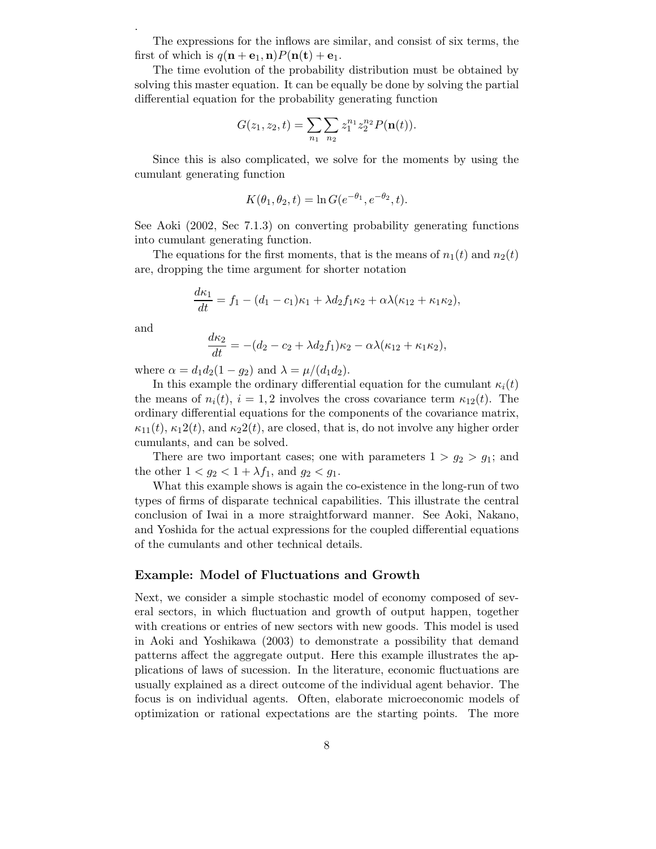The expressions for the inflows are similar, and consist of six terms, the first of which is  $q(\mathbf{n} + \mathbf{e}_1, \mathbf{n})P(\mathbf{n}(\mathbf{t}) + \mathbf{e}_1)$ .

The time evolution of the probability distribution must be obtained by solving this master equation. It can be equally be done by solving the partial differential equation for the probability generating function

$$
G(z_1, z_2, t) = \sum_{n_1} \sum_{n_2} z_1^{n_1} z_2^{n_2} P(\mathbf{n}(t)).
$$

Since this is also complicated, we solve for the moments by using the cumulant generating function

$$
K(\theta_1, \theta_2, t) = \ln G(e^{-\theta_1}, e^{-\theta_2}, t).
$$

See Aoki (2002, Sec 7.1.3) on converting probability generating functions into cumulant generating function.

The equations for the first moments, that is the means of  $n_1(t)$  and  $n_2(t)$ are, dropping the time argument for shorter notation

$$
\frac{d\kappa_1}{dt} = f_1 - (d_1 - c_1)\kappa_1 + \lambda d_2 f_1 \kappa_2 + \alpha \lambda (\kappa_{12} + \kappa_1 \kappa_2),
$$

and

.

$$
\frac{d\kappa_2}{dt} = -(d_2 - c_2 + \lambda d_2 f_1)\kappa_2 - \alpha\lambda(\kappa_{12} + \kappa_1\kappa_2),
$$

where  $\alpha = d_1 d_2 (1 - g_2)$  and  $\lambda = \mu/(d_1 d_2)$ .

In this example the ordinary differential equation for the cumulant  $\kappa_i(t)$ the means of  $n_i(t)$ ,  $i = 1, 2$  involves the cross covariance term  $\kappa_{12}(t)$ . The ordinary differential equations for the components of the covariance matrix,  $\kappa_{11}(t)$ ,  $\kappa_{12}(t)$ , and  $\kappa_{22}(t)$ , are closed, that is, do not involve any higher order cumulants, and can be solved.

There are two important cases; one with parameters  $1 > g_2 > g_1$ ; and the other  $1 < g_2 < 1 + \lambda f_1$ , and  $g_2 < g_1$ .

What this example shows is again the co-existence in the long-run of two types of firms of disparate technical capabilities. This illustrate the central conclusion of Iwai in a more straightforward manner. See Aoki, Nakano, and Yoshida for the actual expressions for the coupled differential equations of the cumulants and other technical details.

#### **Example: Model of Fluctuations and Growth**

Next, we consider a simple stochastic model of economy composed of several sectors, in which fluctuation and growth of output happen, together with creations or entries of new sectors with new goods. This model is used in Aoki and Yoshikawa (2003) to demonstrate a possibility that demand patterns affect the aggregate output. Here this example illustrates the applications of laws of sucession. In the literature, economic fluctuations are usually explained as a direct outcome of the individual agent behavior. The focus is on individual agents. Often, elaborate microeconomic models of optimization or rational expectations are the starting points. The more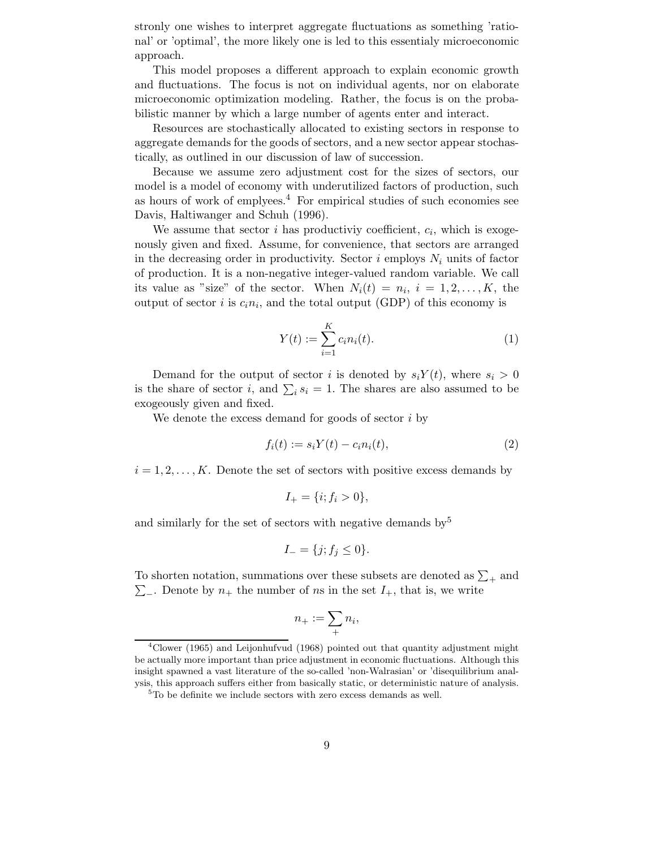stronly one wishes to interpret aggregate fluctuations as something 'rational' or 'optimal', the more likely one is led to this essentialy microeconomic approach.

This model proposes a different approach to explain economic growth and fluctuations. The focus is not on individual agents, nor on elaborate microeconomic optimization modeling. Rather, the focus is on the probabilistic manner by which a large number of agents enter and interact.

Resources are stochastically allocated to existing sectors in response to aggregate demands for the goods of sectors, and a new sector appear stochastically, as outlined in our discussion of law of succession.

Because we assume zero adjustment cost for the sizes of sectors, our model is a model of economy with underutilized factors of production, such as hours of work of emplyees. $4$  For empirical studies of such economies see Davis, Haltiwanger and Schuh (1996).

We assume that sector i has productiviy coefficient,  $c_i$ , which is exogenously given and fixed. Assume, for convenience, that sectors are arranged in the decreasing order in productivity. Sector i employs  $N_i$  units of factor of production. It is a non-negative integer-valued random variable. We call its value as "size" of the sector. When  $N_i(t) = n_i$ ,  $i = 1, 2, ..., K$ , the output of sector i is  $c_i n_i$ , and the total output (GDP) of this economy is

$$
Y(t) := \sum_{i=1}^{K} c_i n_i(t).
$$
 (1)

Demand for the output of sector i is denoted by  $s_i Y(t)$ , where  $s_i > 0$ is the share of sector *i*, and  $\sum_i s_i = 1$ . The shares are also assumed to be exogeously given and fixed.

We denote the excess demand for goods of sector  $i$  by

$$
f_i(t) := s_i Y(t) - c_i n_i(t), \qquad (2)
$$

 $i = 1, 2, \ldots, K$ . Denote the set of sectors with positive excess demands by

$$
I_{+} = \{i; f_i > 0\},\,
$$

and similarly for the set of sectors with negative demands  $by<sup>5</sup>$ 

$$
I_{-}=\{j;f_j\leq 0\}.
$$

To shorten notation, summations over these subsets are denoted as  $\sum_{+}$  and  $\Sigma_{-}$ . Denote by  $n_{+}$  the number of ns in the set  $I_{+}$ , that is, we write

$$
n_+ := \sum_{+} n_i,
$$

<sup>4</sup>Clower (1965) and Leijonhufvud (1968) pointed out that quantity adjustment might be actually more important than price adjustment in economic fluctuations. Although this insight spawned a vast literature of the so-called 'non-Walrasian' or 'disequilibrium analysis, this approach suffers either from basically static, or deterministic nature of analysis.

 ${}^{5}{\rm To}$  be definite we include sectors with zero excess demands as well.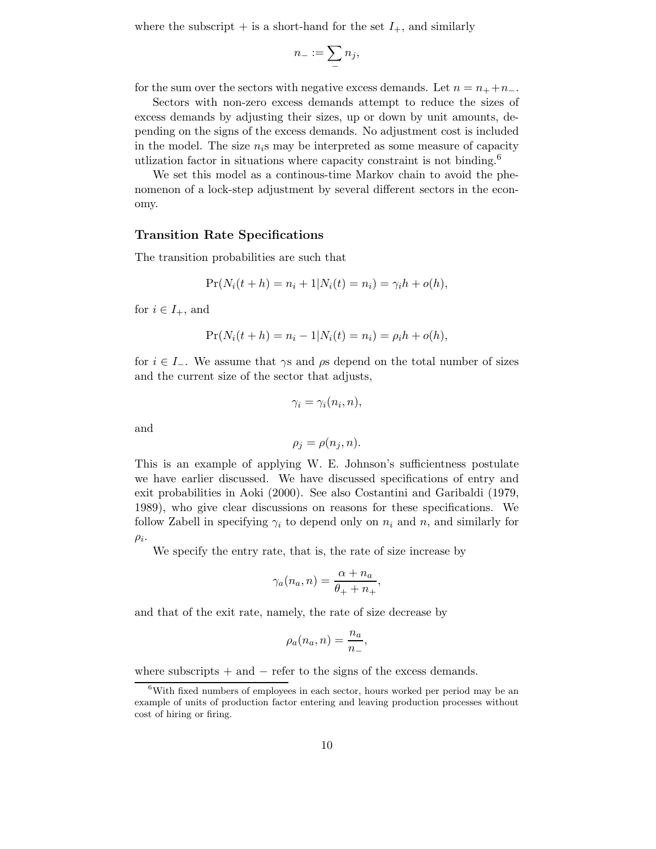where the subscript  $+$  is a short-hand for the set  $I_+$ , and similarly

$$
n_- := \sum_{i} n_i,
$$

for the sum over the sectors with negative excess demands. Let  $n = n_{+} + n_{-}$ .

Sectors with non-zero excess demands attempt to reduce the sizes of excess demands by adjusting their sizes, up or down by unit amounts, depending on the signs of the excess demands. No adjustment cost is included in the model. The size  $n_i$ s may be interpreted as some measure of capacity utlization factor in situations where capacity constraint is not binding.<sup>6</sup>

We set this model as a continous-time Markov chain to avoid the phenomenon of a lock-step adjustment by several different sectors in the economy.

#### **Transition Rate Specifications**

The transition probabilities are such that

$$
Pr(N_i(t + h) = n_i + 1 | N_i(t) = n_i) = \gamma_i h + o(h),
$$

for  $i \in I_+$ , and

$$
Pr(N_i(t + h) = n_i - 1 | N_i(t) = n_i) = \rho_i h + o(h),
$$

for  $i \in I_-.$  We assume that  $\gamma s$  and  $\rho s$  depend on the total number of sizes and the current size of the sector that adjusts,

$$
\gamma_i = \gamma_i(n_i, n),
$$

and

$$
\rho_j = \rho(n_j, n).
$$

This is an example of applying W. E. Johnson's sufficientness postulate we have earlier discussed. We have discussed specifications of entry and exit probabilities in Aoki (2000). See also Costantini and Garibaldi (1979, 1989), who give clear discussions on reasons for these specifications. We follow Zabell in specifying  $\gamma_i$  to depend only on  $n_i$  and  $n_i$ , and similarly for  $\rho_i$ .

We specify the entry rate, that is, the rate of size increase by

$$
\gamma_a(n_a, n) = \frac{\alpha + n_a}{\theta_+ + n_+},
$$

and that of the exit rate, namely, the rate of size decrease by

$$
\rho_a(n_a, n) = \frac{n_a}{n_-},
$$

where subscripts  $+$  and  $-$  refer to the signs of the excess demands.

 $6$ With fixed numbers of employees in each sector, hours worked per period may be an example of units of production factor entering and leaving production processes without cost of hiring or firing.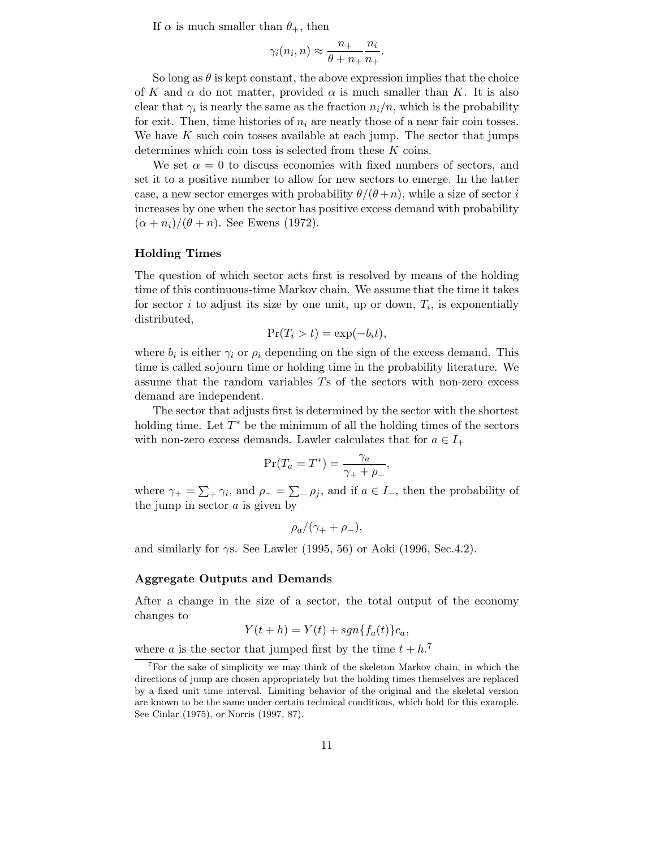If  $\alpha$  is much smaller than  $\theta_+$ , then

$$
\gamma_i(n_i, n) \approx \frac{n_+}{\theta + n_+} \frac{n_i}{n_+}.
$$

So long as  $\theta$  is kept constant, the above expression implies that the choice of K and  $\alpha$  do not matter, provided  $\alpha$  is much smaller than K. It is also clear that  $\gamma_i$  is nearly the same as the fraction  $n_i/n$ , which is the probability for exit. Then, time histories of  $n_i$  are nearly those of a near fair coin tosses. We have  $K$  such coin tosses available at each jump. The sector that jumps determines which coin toss is selected from these K coins.

We set  $\alpha = 0$  to discuss economies with fixed numbers of sectors, and set it to a positive number to allow for new sectors to emerge. In the latter case, a new sector emerges with probability  $\theta/(\theta+n)$ , while a size of sector i increases by one when the sector has positive excess demand with probability  $(\alpha + n_i)/(\theta + n)$ . See Ewens (1972).

#### **Holding Times**

The question of which sector acts first is resolved by means of the holding time of this continuous-time Markov chain. We assume that the time it takes for sector i to adjust its size by one unit, up or down,  $T_i$ , is exponentially distributed,

$$
\Pr(T_i > t) = \exp(-b_i t),
$$

where  $b_i$  is either  $\gamma_i$  or  $\rho_i$  depending on the sign of the excess demand. This time is called sojourn time or holding time in the probability literature. We assume that the random variables Ts of the sectors with non-zero excess demand are independent.

The sector that adjusts first is determined by the sector with the shortest holding time. Let  $T^*$  be the minimum of all the holding times of the sectors with non-zero excess demands. Lawler calculates that for  $a \in I_+$ 

$$
\Pr(T_a = T^*) = \frac{\gamma_a}{\gamma_+ + \rho_-},
$$

where  $\gamma_+ = \sum_+ \gamma_i$ , and  $\rho_- = \sum_- \rho_j$ , and if  $a \in I_-,$  then the probability of the jump in sector  $a$  is given by

$$
\rho_a/(\gamma_+ + \rho_-),
$$

and similarly for  $\gamma s$ . See Lawler (1995, 56) or Aoki (1996, Sec. 4.2).

#### **Aggregate Outputs and Demands**

After a change in the size of a sector, the total output of the economy changes to

$$
Y(t+h) = Y(t) + sgn{f_a(t)}c_a,
$$

where a is the sector that jumped first by the time  $t + h$ <sup>7</sup>

<sup>7</sup>For the sake of simplicity we may think of the skeleton Markov chain, in which the directions of jump are chosen appropriately but the holding times themselves are replaced by a fixed unit time interval. Limiting behavior of the original and the skeletal version are known to be the same under certain technical conditions, which hold for this example. See Cinlar (1975), or Norris (1997, 87).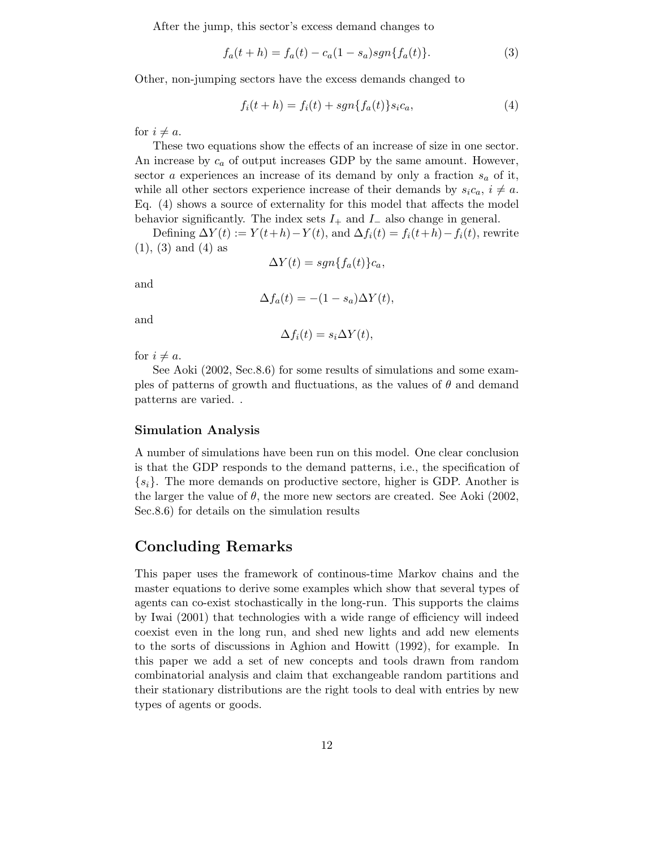After the jump, this sector's excess demand changes to

$$
f_a(t+h) = f_a(t) - c_a(1 - s_a)sgn\{f_a(t)\}.
$$
 (3)

Other, non-jumping sectors have the excess demands changed to

$$
f_i(t + h) = f_i(t) + sgn{f_a(t)}s_ic_a,
$$
\n(4)

for  $i \neq a$ .

These two equations show the effects of an increase of size in one sector. An increase by  $c_a$  of output increases GDP by the same amount. However, sector a experiences an increase of its demand by only a fraction  $s_a$  of it, while all other sectors experience increase of their demands by  $s_i c_a$ ,  $i \neq a$ . Eq. (4) shows a source of externality for this model that affects the model behavior significantly. The index sets  $I_+$  and  $I_-$  also change in general.

Defining  $\Delta Y(t) := Y(t+h) - Y(t)$ , and  $\Delta f_i(t) = f_i(t+h) - f_i(t)$ , rewrite (1), (3) and (4) as

$$
\Delta Y(t) = sgn\{f_a(t)\}c_a,
$$

and

$$
\Delta f_a(t) = -(1 - s_a)\Delta Y(t),
$$

and

$$
\Delta f_i(t) = s_i \Delta Y(t),
$$

for  $i \neq a$ .

See Aoki (2002, Sec.8.6) for some results of simulations and some examples of patterns of growth and fluctuations, as the values of  $\theta$  and demand patterns are varied. .

#### **Simulation Analysis**

A number of simulations have been run on this model. One clear conclusion is that the GDP responds to the demand patterns, i.e., the specification of  $\{s_i\}$ . The more demands on productive sectore, higher is GDP. Another is the larger the value of  $\theta$ , the more new sectors are created. See Aoki (2002, Sec.8.6) for details on the simulation results

### **Concluding Remarks**

This paper uses the framework of continous-time Markov chains and the master equations to derive some examples which show that several types of agents can co-exist stochastically in the long-run. This supports the claims by Iwai (2001) that technologies with a wide range of efficiency will indeed coexist even in the long run, and shed new lights and add new elements to the sorts of discussions in Aghion and Howitt (1992), for example. In this paper we add a set of new concepts and tools drawn from random combinatorial analysis and claim that exchangeable random partitions and their stationary distributions are the right tools to deal with entries by new types of agents or goods.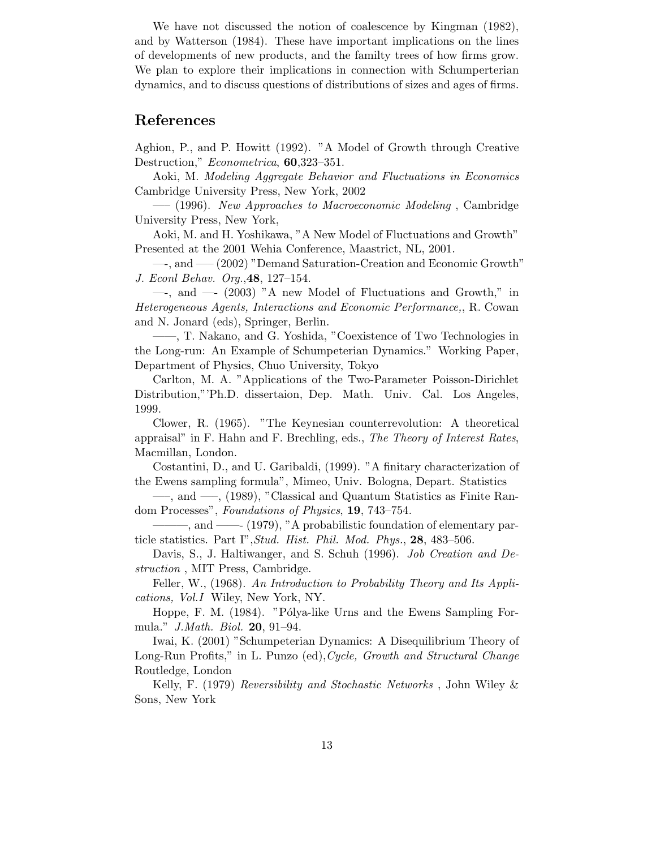We have not discussed the notion of coalescence by Kingman (1982), and by Watterson (1984). These have important implications on the lines of developments of new products, and the familty trees of how firms grow. We plan to explore their implications in connection with Schumperterian dynamics, and to discuss questions of distributions of sizes and ages of firms.

### **References**

Aghion, P., and P. Howitt (1992). "A Model of Growth through Creative Destruction," *Econometrica*, **60**,323–351.

Aoki, M. *Modeling Aggregate Behavior and Fluctuations in Economics* Cambridge University Press, New York, 2002

—– (1996). *New Approaches to Macroeconomic Modeling* , Cambridge University Press, New York,

Aoki, M. and H. Yoshikawa, "A New Model of Fluctuations and Growth" Presented at the 2001 Wehia Conference, Maastrict, NL, 2001.

—-, and —– (2002) "Demand Saturation-Creation and Economic Growth" *J. Econl Behav. Org.*,**48**, 127–154.

—-, and —- (2003) "A new Model of Fluctuations and Growth," in *Heterogeneous Agents, Interactions and Economic Performance,*, R. Cowan and N. Jonard (eds), Springer, Berlin.

——, T. Nakano, and G. Yoshida, "Coexistence of Two Technologies in the Long-run: An Example of Schumpeterian Dynamics." Working Paper, Department of Physics, Chuo University, Tokyo

Carlton, M. A. "Applications of the Two-Parameter Poisson-Dirichlet Distribution,"'Ph.D. dissertaion, Dep. Math. Univ. Cal. Los Angeles, 1999.

Clower, R. (1965). "The Keynesian counterrevolution: A theoretical appraisal" in F. Hahn and F. Brechling, eds., *The Theory of Interest Rates*, Macmillan, London.

Costantini, D., and U. Garibaldi, (1999). "A finitary characterization of the Ewens sampling formula", Mimeo, Univ. Bologna, Depart. Statistics

—–, and —–, (1989), "Classical and Quantum Statistics as Finite Random Processes", *Foundations of Physics*, **19**, 743–754.

———, and ——— (1979), "A probabilistic foundation of elementary particle statistics. Part I",*Stud. Hist. Phil. Mod. Phys.*, **28**, 483–506.

Davis, S., J. Haltiwanger, and S. Schuh (1996). *Job Creation and Destruction* , MIT Press, Cambridge.

Feller, W., (1968). *An Introduction to Probability Theory and Its Applications, Vol.I* Wiley, New York, NY.

Hoppe, F. M. (1984). "Pólya-like Urns and the Ewens Sampling Formula." *J.Math. Biol.* **20**, 91–94.

Iwai, K. (2001) "Schumpeterian Dynamics: A Disequilibrium Theory of Long-Run Profits," in L. Punzo (ed),*Cycle, Growth and Structural Change* Routledge, London

Kelly, F. (1979) *Reversibility and Stochastic Networks* , John Wiley & Sons, New York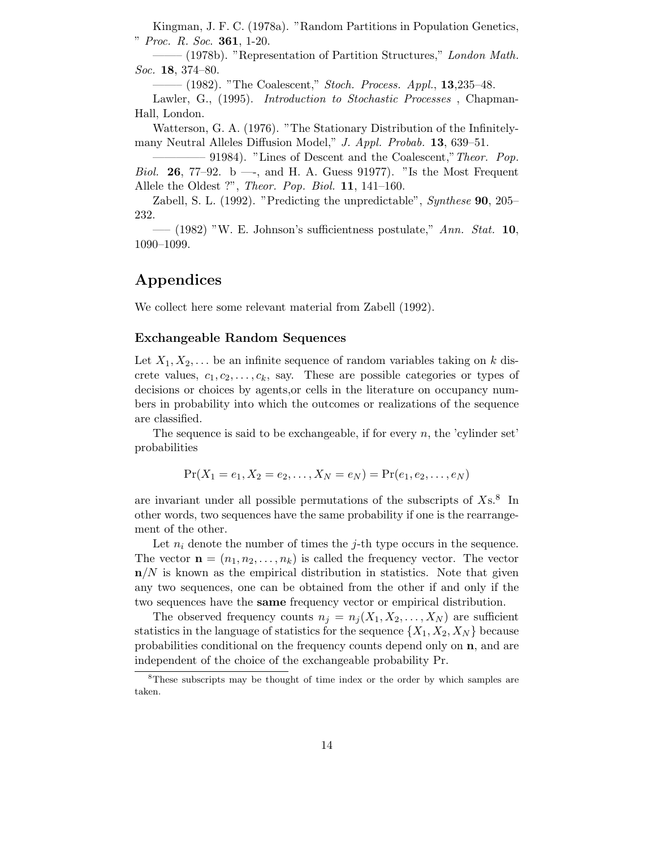Kingman, J. F. C. (1978a). "Random Partitions in Population Genetics, " *Proc. R. Soc*. **361**, 1-20.

——– (1978b). "Representation of Partition Structures," *London Math. Soc.* **18**, 374–80.

——– (1982). "The Coalescent," *Stoch. Process. Appl.*, **13**,235–48.

Lawler, G., (1995). *Introduction to Stochastic Processes* , Chapman-Hall, London.

Watterson, G. A. (1976). "The Stationary Distribution of the Infinitelymany Neutral Alleles Diffusion Model," *J. Appl. Probab.* **13**, 639–51.

————– 91984). "Lines of Descent and the Coalescent,"*Theor. Pop. Biol.* **26**, 77–92. b —-, and H. A. Guess 91977). "Is the Most Frequent Allele the Oldest ?", *Theor. Pop. Biol.* **11**, 141–160.

Zabell, S. L. (1992). "Predicting the unpredictable", *Synthese* **90**, 205– 232.

—– (1982) "W. E. Johnson's sufficientness postulate," *Ann. Stat.* **10**, 1090–1099.

### **Appendices**

We collect here some relevant material from Zabell (1992).

#### **Exchangeable Random Sequences**

Let  $X_1, X_2, \ldots$  be an infinite sequence of random variables taking on k discrete values,  $c_1, c_2, \ldots, c_k$ , say. These are possible categories or types of decisions or choices by agents,or cells in the literature on occupancy numbers in probability into which the outcomes or realizations of the sequence are classified.

The sequence is said to be exchangeable, if for every  $n$ , the 'cylinder set' probabilities

$$
Pr(X_1 = e_1, X_2 = e_2, \dots, X_N = e_N) = Pr(e_1, e_2, \dots, e_N)
$$

are invariant under all possible permutations of the subscripts of  $X_s$ .<sup>8</sup> In other words, two sequences have the same probability if one is the rearrangement of the other.

Let  $n_i$  denote the number of times the j-th type occurs in the sequence. The vector  $\mathbf{n} = (n_1, n_2, \dots, n_k)$  is called the frequency vector. The vector  $\mathbf{n}/N$  is known as the empirical distribution in statistics. Note that given any two sequences, one can be obtained from the other if and only if the two sequences have the **same** frequency vector or empirical distribution.

The observed frequency counts  $n_j = n_j(X_1, X_2, \ldots, X_N)$  are sufficient statistics in the language of statistics for the sequence  $\{X_1, X_2, X_N\}$  because probabilities conditional on the frequency counts depend only on **n**, and are independent of the choice of the exchangeable probability Pr.

<sup>8</sup>These subscripts may be thought of time index or the order by which samples are taken.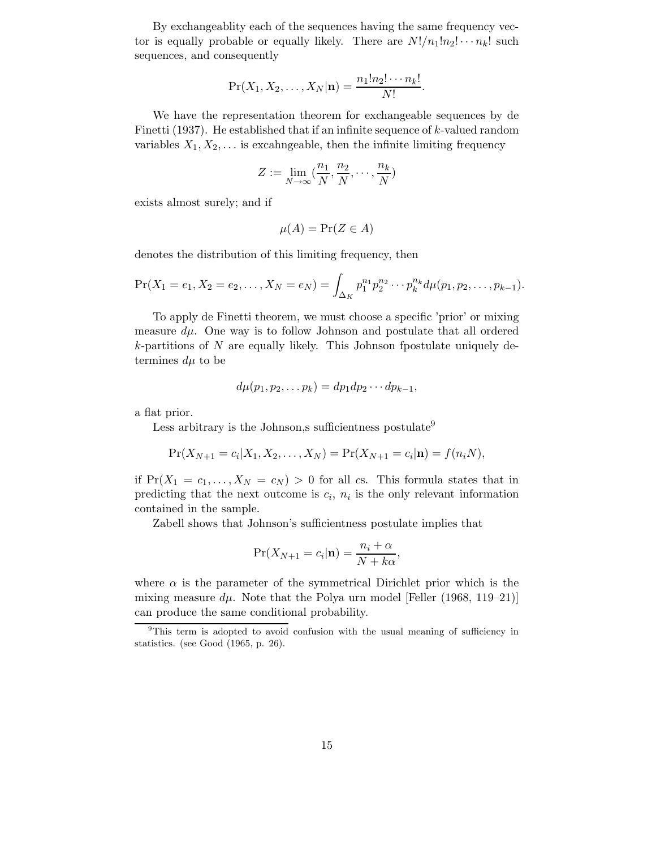By exchangeablity each of the sequences having the same frequency vector is equally probable or equally likely. There are  $N!/n_1!n_2! \cdots n_k!$  such sequences, and consequently

$$
Pr(X_1, X_2, \ldots, X_N | \mathbf{n}) = \frac{n_1! n_2! \cdots n_k!}{N!}.
$$

We have the representation theorem for exchangeable sequences by de Finetti (1937). He established that if an infinite sequence of  $k$ -valued random variables  $X_1, X_2, \ldots$  is excahngeable, then the infinite limiting frequency

$$
Z := \lim_{N \to \infty} (\frac{n_1}{N}, \frac{n_2}{N}, \cdots, \frac{n_k}{N})
$$

exists almost surely; and if

$$
\mu(A) = \Pr(Z \in A)
$$

denotes the distribution of this limiting frequency, then

$$
\Pr(X_1 = e_1, X_2 = e_2, \dots, X_N = e_N) = \int_{\Delta_K} p_1^{n_1} p_2^{n_2} \cdots p_k^{n_k} d\mu(p_1, p_2, \dots, p_{k-1}).
$$

To apply de Finetti theorem, we must choose a specific 'prior' or mixing measure  $d\mu$ . One way is to follow Johnson and postulate that all ordered  $k$ -partitions of N are equally likely. This Johnson fpostulate uniquely determines  $d\mu$  to be

$$
d\mu(p_1, p_2, \ldots p_k) = dp_1 dp_2 \cdots dp_{k-1},
$$

a flat prior.

Less arbitrary is the Johnson, sufficientness postulate<sup>9</sup>

$$
Pr(X_{N+1} = c_i | X_1, X_2, \dots, X_N) = Pr(X_{N+1} = c_i | \mathbf{n}) = f(n_i N),
$$

if  $Pr(X_1 = c_1, ..., X_N = c_N) > 0$  for all cs. This formula states that in predicting that the next outcome is  $c_i$ ,  $n_i$  is the only relevant information contained in the sample.

Zabell shows that Johnson's sufficientness postulate implies that

$$
\Pr(X_{N+1} = c_i | \mathbf{n}) = \frac{n_i + \alpha}{N + k\alpha},
$$

where  $\alpha$  is the parameter of the symmetrical Dirichlet prior which is the mixing measure  $d\mu$ . Note that the Polya urn model [Feller (1968, 119–21)] can produce the same conditional probability.

<sup>&</sup>lt;sup>9</sup>This term is adopted to avoid confusion with the usual meaning of sufficiency in statistics. (see Good (1965, p. 26).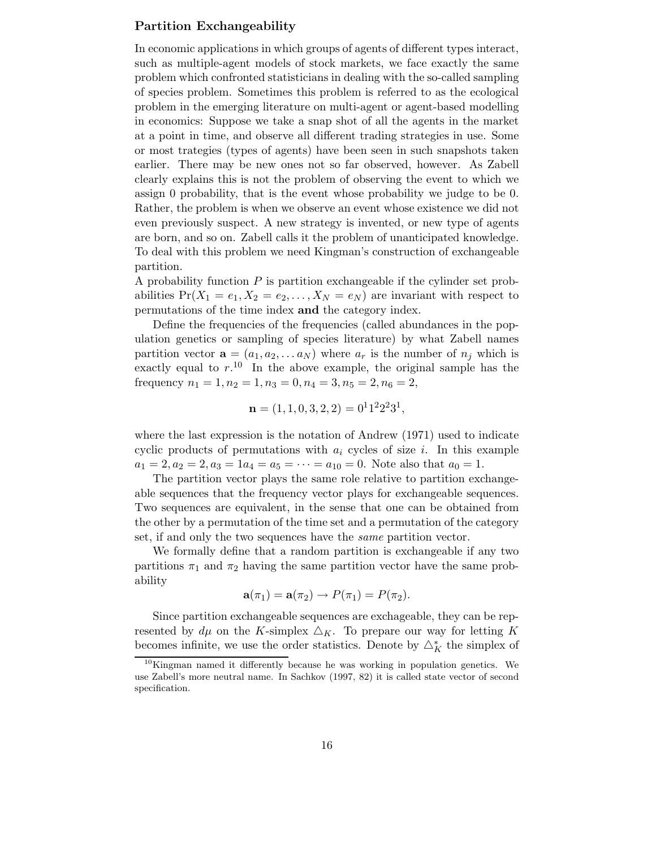#### **Partition Exchangeability**

In economic applications in which groups of agents of different types interact, such as multiple-agent models of stock markets, we face exactly the same problem which confronted statisticians in dealing with the so-called sampling of species problem. Sometimes this problem is referred to as the ecological problem in the emerging literature on multi-agent or agent-based modelling in economics: Suppose we take a snap shot of all the agents in the market at a point in time, and observe all different trading strategies in use. Some or most trategies (types of agents) have been seen in such snapshots taken earlier. There may be new ones not so far observed, however. As Zabell clearly explains this is not the problem of observing the event to which we assign 0 probability, that is the event whose probability we judge to be 0. Rather, the problem is when we observe an event whose existence we did not even previously suspect. A new strategy is invented, or new type of agents are born, and so on. Zabell calls it the problem of unanticipated knowledge. To deal with this problem we need Kingman's construction of exchangeable partition.

A probability function P is partition exchangeable if the cylinder set probabilities  $Pr(X_1 = e_1, X_2 = e_2, \ldots, X_N = e_N)$  are invariant with respect to permutations of the time index **and** the category index.

Define the frequencies of the frequencies (called abundances in the population genetics or sampling of species literature) by what Zabell names partition vector  $\mathbf{a} = (a_1, a_2, \dots a_N)$  where  $a_r$  is the number of  $n_j$  which is exactly equal to  $r^{10}$  In the above example, the original sample has the frequency  $n_1 = 1, n_2 = 1, n_3 = 0, n_4 = 3, n_5 = 2, n_6 = 2,$ 

$$
\mathbf{n} = (1, 1, 0, 3, 2, 2) = 0^1 1^2 2^2 3^1,
$$

where the last expression is the notation of Andrew (1971) used to indicate cyclic products of permutations with  $a_i$  cycles of size i. In this example  $a_1 = 2, a_2 = 2, a_3 = 1a_4 = a_5 = \cdots = a_{10} = 0$ . Note also that  $a_0 = 1$ .

The partition vector plays the same role relative to partition exchangeable sequences that the frequency vector plays for exchangeable sequences. Two sequences are equivalent, in the sense that one can be obtained from the other by a permutation of the time set and a permutation of the category set, if and only the two sequences have the *same* partition vector.

We formally define that a random partition is exchangeable if any two partitions  $\pi_1$  and  $\pi_2$  having the same partition vector have the same probability

$$
\mathbf{a}(\pi_1) = \mathbf{a}(\pi_2) \rightarrow P(\pi_1) = P(\pi_2).
$$

Since partition exchangeable sequences are exchageable, they can be represented by  $d\mu$  on the K-simplex  $\Delta_K$ . To prepare our way for letting K becomes infinite, we use the order statistics. Denote by  $\triangle_K^*$  the simplex of

<sup>10</sup>Kingman named it differently because he was working in population genetics. We use Zabell's more neutral name. In Sachkov (1997, 82) it is called state vector of second specification.